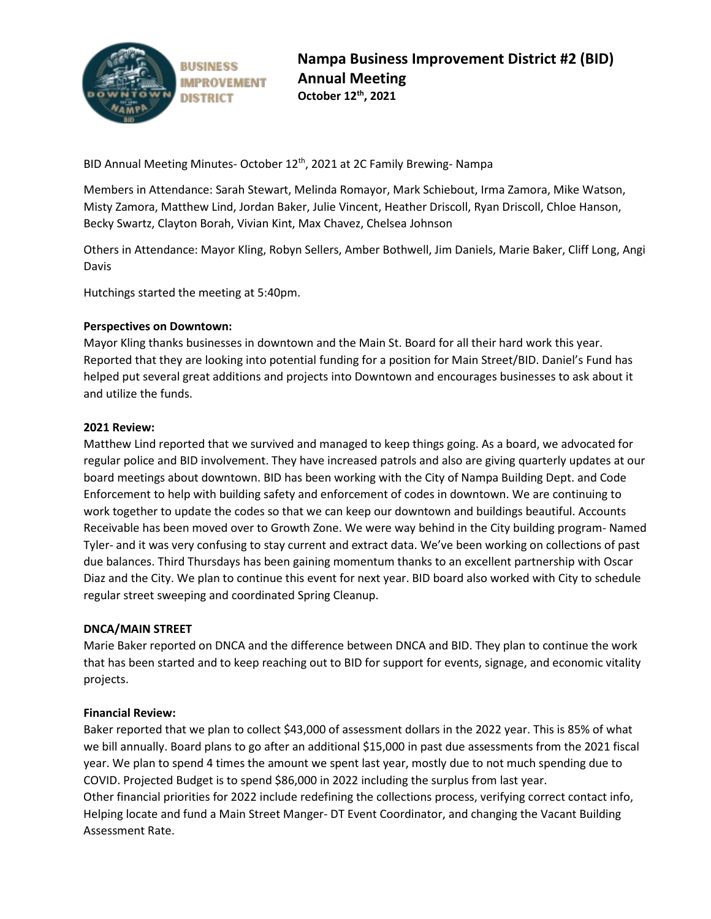

BID Annual Meeting Minutes- October 12<sup>th</sup>, 2021 at 2C Family Brewing- Nampa

Members in Attendance: Sarah Stewart, Melinda Romayor, Mark Schiebout, Irma Zamora, Mike Watson, Misty Zamora, Matthew Lind, Jordan Baker, Julie Vincent, Heather Driscoll, Ryan Driscoll, Chloe Hanson, Becky Swartz, Clayton Borah, Vivian Kint, Max Chavez, Chelsea Johnson

Others in Attendance: Mayor Kling, Robyn Sellers, Amber Bothwell, Jim Daniels, Marie Baker, Cliff Long, Angi Davis

Hutchings started the meeting at 5:40pm.

# **Perspectives on Downtown:**

Mayor Kling thanks businesses in downtown and the Main St. Board for all their hard work this year. Reported that they are looking into potential funding for a position for Main Street/BID. Daniel's Fund has helped put several great additions and projects into Downtown and encourages businesses to ask about it and utilize the funds.

## **2021 Review:**

Matthew Lind reported that we survived and managed to keep things going. As a board, we advocated for regular police and BID involvement. They have increased patrols and also are giving quarterly updates at our board meetings about downtown. BID has been working with the City of Nampa Building Dept. and Code Enforcement to help with building safety and enforcement of codes in downtown. We are continuing to work together to update the codes so that we can keep our downtown and buildings beautiful. Accounts Receivable has been moved over to Growth Zone. We were way behind in the City building program- Named Tyler- and it was very confusing to stay current and extract data. We've been working on collections of past due balances. Third Thursdays has been gaining momentum thanks to an excellent partnership with Oscar Diaz and the City. We plan to continue this event for next year. BID board also worked with City to schedule regular street sweeping and coordinated Spring Cleanup.

## **DNCA/MAIN STREET**

Marie Baker reported on DNCA and the difference between DNCA and BID. They plan to continue the work that has been started and to keep reaching out to BID for support for events, signage, and economic vitality projects.

## **Financial Review:**

Baker reported that we plan to collect \$43,000 of assessment dollars in the 2022 year. This is 85% of what we bill annually. Board plans to go after an additional \$15,000 in past due assessments from the 2021 fiscal year. We plan to spend 4 times the amount we spent last year, mostly due to not much spending due to COVID. Projected Budget is to spend \$86,000 in 2022 including the surplus from last year. Other financial priorities for 2022 include redefining the collections process, verifying correct contact info, Helping locate and fund a Main Street Manger- DT Event Coordinator, and changing the Vacant Building Assessment Rate.